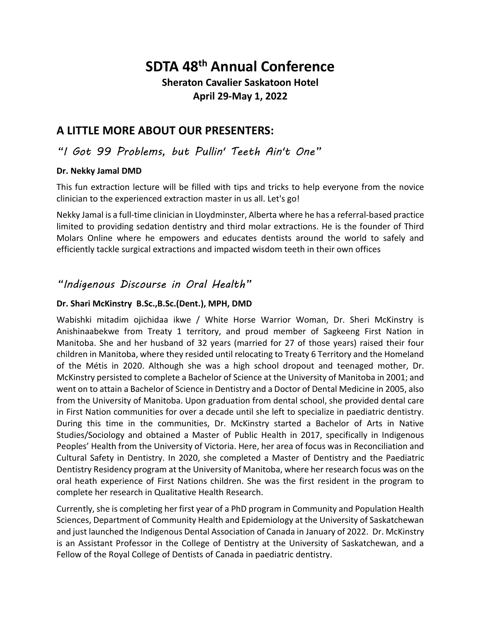# **SDTA 48th Annual Conference**

### **Sheraton Cavalier Saskatoon Hotel April 29-May 1, 2022**

# **A LITTLE MORE ABOUT OUR PRESENTERS:**

### *"I Got 99 Problems, but Pullin' Teeth Ain't One"*

#### **Dr. Nekky Jamal DMD**

This fun extraction lecture will be filled with tips and tricks to help everyone from the novice clinician to the experienced extraction master in us all. Let's go!

Nekky Jamal is a full‐time clinician in Lloydminster, Alberta where he has a referral‐based practice limited to providing sedation dentistry and third molar extractions. He is the founder of Third Molars Online where he empowers and educates dentists around the world to safely and efficiently tackle surgical extractions and impacted wisdom teeth in their own offices

# *"Indigenous Discourse in Oral Health"*

#### **Dr. Shari McKinstry B.Sc.,B.Sc.(Dent.), MPH, DMD**

Wabishki mitadim ojichidaa ikwe / White Horse Warrior Woman, Dr. Sheri McKinstry is Anishinaabekwe from Treaty 1 territory, and proud member of Sagkeeng First Nation in Manitoba. She and her husband of 32 years (married for 27 of those years) raised their four children in Manitoba, where they resided until relocating to Treaty 6 Territory and the Homeland of the Métis in 2020. Although she was a high school dropout and teenaged mother, Dr. McKinstry persisted to complete a Bachelor of Science at the University of Manitoba in 2001; and went on to attain a Bachelor of Science in Dentistry and a Doctor of Dental Medicine in 2005, also from the University of Manitoba. Upon graduation from dental school, she provided dental care in First Nation communities for over a decade until she left to specialize in paediatric dentistry. During this time in the communities, Dr. McKinstry started a Bachelor of Arts in Native Studies/Sociology and obtained a Master of Public Health in 2017, specifically in Indigenous Peoples' Health from the University of Victoria. Here, her area of focus was in Reconciliation and Cultural Safety in Dentistry. In 2020, she completed a Master of Dentistry and the Paediatric Dentistry Residency program at the University of Manitoba, where her research focus was on the oral heath experience of First Nations children. She was the first resident in the program to complete her research in Qualitative Health Research.

Currently, she is completing her first year of a PhD program in Community and Population Health Sciences, Department of Community Health and Epidemiology at the University of Saskatchewan and just launched the Indigenous Dental Association of Canada in January of 2022. Dr. McKinstry is an Assistant Professor in the College of Dentistry at the University of Saskatchewan, and a Fellow of the Royal College of Dentists of Canada in paediatric dentistry.